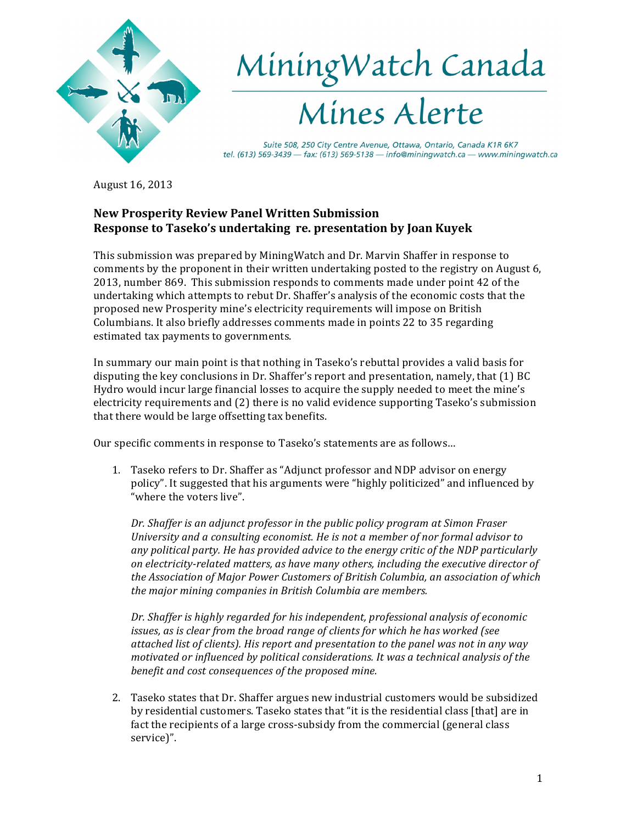

August 16, 2013

# **New Prosperity Review Panel Written Submission Response to Taseko's undertaking re. presentation by Joan Kuyek**

This submission was prepared by MiningWatch and Dr. Marvin Shaffer in response to comments by the proponent in their written undertaking posted to the registry on August 6, 2013, number 869. This submission responds to comments made under point 42 of the undertaking which attempts to rebut Dr. Shaffer's analysis of the economic costs that the proposed new Prosperity mine's electricity requirements will impose on British Columbians. It also briefly addresses comments made in points 22 to 35 regarding estimated tax payments to governments.

In summary our main point is that nothing in Taseko's rebuttal provides a valid basis for disputing the key conclusions in Dr. Shaffer's report and presentation, namely, that  $(1)$  BC Hydro would incur large financial losses to acquire the supply needed to meet the mine's electricity requirements and (2) there is no valid evidence supporting Taseko's submission that there would be large offsetting tax benefits.

Our specific comments in response to Taseko's statements are as follows...

1. Taseko refers to Dr. Shaffer as "Adjunct professor and NDP advisor on energy policy". It suggested that his arguments were "highly politicized" and influenced by "where the voters live".

*Dr. Shaffer is an adjunct professor in the public policy program at Simon Fraser University and a consulting economist. He is not a member of nor formal advisor to* any political party. He has provided advice to the energy critic of the NDP particularly *on\$electricity?related\$matters,\$as\$have\$many\$others,\$including\$the\$executive\$director\$of\$* the Association of Major Power Customers of British Columbia, an association of which the major mining companies in British Columbia are members.

Dr. Shaffer is highly regarded for his independent, professional analysis of economic issues, as is clear from the broad range of clients for which he has worked (see attached list of clients). His report and presentation to the panel was not in any way motivated or influenced by political considerations. It was a technical analysis of the benefit and cost consequences of the proposed mine.

2. Taseko states that Dr. Shaffer argues new industrial customers would be subsidized by residential customers. Taseko states that "it is the residential class [that] are in fact the recipients of a large cross-subsidy from the commercial (general class service)".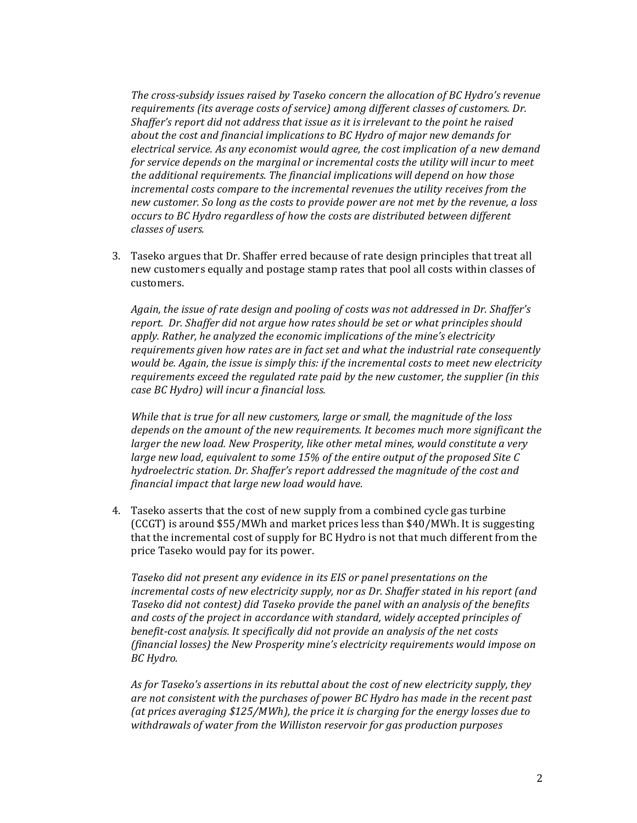The cross-subsidy issues raised by Taseko concern the allocation of BC Hydro's revenue requirements (its average costs of service) among different classes of customers. Dr. Shaffer's report did not address that issue as it is irrelevant to the point he raised about the cost and financial implications to BC Hydro of major new demands for electrical service. As any economist would agree, the cost implication of a new demand for service depends on the marginal or incremental costs the utility will incur to meet the additional requirements. The financial implications will depend on how those incremental costs compare to the incremental revenues the utility receives from the new customer. So long as the costs to provide power are not met by the revenue, a loss occurs to BC Hydro regardless of how the costs are distributed between different classes of users.

3. Taseko argues that Dr. Shaffer erred because of rate design principles that treat all new customers equally and postage stamp rates that pool all costs within classes of customers.

Again, the issue of rate design and pooling of costs was not addressed in Dr. Shaffer's report. Dr. Shaffer did not argue how rates should be set or what principles should apply. Rather, he analyzed the economic implications of the mine's electricity requirements given how rates are in fact set and what the industrial rate consequently would be. Again, the issue is simply this: if the incremental costs to meet new electricity requirements exceed the regulated rate paid by the new customer, the supplier (in this case BC Hydro) will incur a financial loss.

While that is true for all new customers, large or small, the magnitude of the loss depends on the amount of the new requirements. It becomes much more significant the larger the new load. New Prosperity, like other metal mines, would constitute a very large new load, equivalent to some 15% of the entire output of the proposed Site C hydroelectric station. Dr. Shaffer's report addressed the magnitude of the cost and financial impact that large new load would have.

4. Taseko asserts that the cost of new supply from a combined cycle gas turbine (CCGT) is around \$55/MWh and market prices less than \$40/MWh. It is suggesting that the incremental cost of supply for BC Hydro is not that much different from the price Taseko would pay for its power.

Taseko did not present any evidence in its EIS or panel presentations on the incremental costs of new electricity supply, nor as Dr. Shaffer stated in his report (and Taseko did not contest) did Taseko provide the panel with an analysis of the benefits and costs of the project in accordance with standard, widely accepted principles of benefit-cost analysis. It specifically did not provide an analysis of the net costs (financial losses) the New Prosperity mine's electricity requirements would impose on BC Hydro.

As for Taseko's assertions in its rebuttal about the cost of new electricity supply, they are not consistent with the purchases of power BC Hydro has made in the recent past (at prices averaging \$125/MWh), the price it is charging for the energy losses due to withdrawals of water from the Williston reservoir for gas production purposes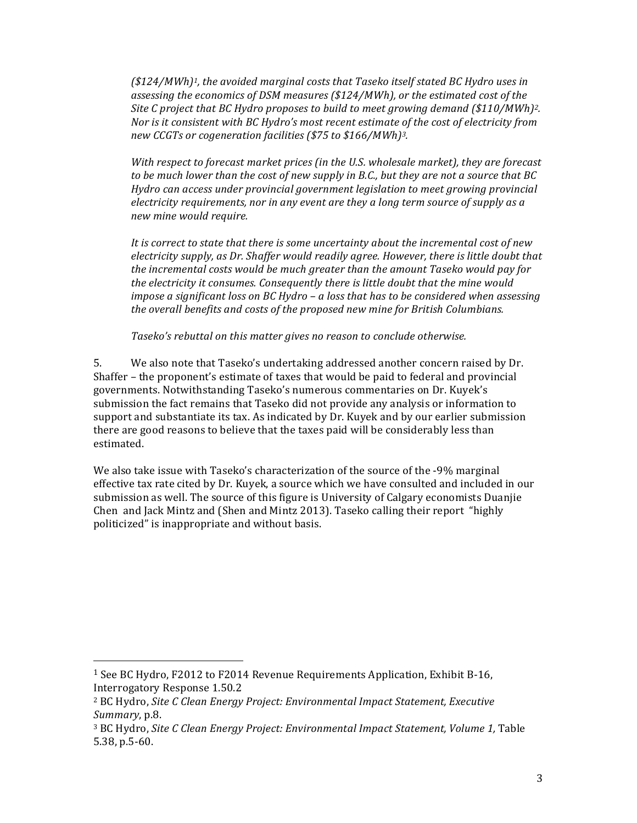$($124/MWh)<sup>1</sup>$ , the avoided marginal costs that Taseko itself stated BC Hydro uses in assessing the economics of DSM measures ( $$124/MWh$ ), or the estimated cost of the Site C project that BC Hydro proposes to build to meet growing demand (\$110/MWh)<sup>2</sup>. Nor is it consistent with BC Hydro's most recent estimate of the cost of electricity from new CCGTs or cogeneration facilities (\$75 to \$166/MWh)<sup>3</sup>.

With respect to forecast market prices (in the U.S. wholesale market), they are forecast to be much lower than the cost of new supply in B.C., but they are not a source that BC Hydro can access under provincial government legislation to meet growing provincial electricity requirements, nor in any event are they a long term source of supply as a new mine would require.

It is correct to state that there is some uncertainty about the incremental cost of new electricity supply, as Dr. Shaffer would readily agree. However, there is little doubt that the incremental costs would be much greater than the amount Taseko would pay for the electricity it consumes. Consequently there is little doubt that the mine would impose a significant loss on BC Hydro  $-$  a loss that has to be considered when assessing the overall benefits and costs of the proposed new mine for British Columbians.

Taseko's rebuttal on this matter gives no reason to conclude otherwise.

5. We also note that Taseko's undertaking addressed another concern raised by Dr. Shaffer - the proponent's estimate of taxes that would be paid to federal and provincial governments. Notwithstanding Taseko's numerous commentaries on Dr. Kuvek's submission the fact remains that Taseko did not provide any analysis or information to support and substantiate its tax. As indicated by Dr. Kuyek and by our earlier submission there are good reasons to believe that the taxes paid will be considerably less than estimated.

We also take issue with Taseko's characterization of the source of the -9% marginal effective tax rate cited by Dr. Kuyek, a source which we have consulted and included in our submission as well. The source of this figure is University of Calgary economists Duanjie Chen and Jack Mintz and (Shen and Mintz 2013). Taseko calling their report "highly" politicized" is inappropriate and without basis.

<sup>&</sup>lt;sup>1</sup> See BC Hydro, F2012 to F2014 Revenue Requirements Application, Exhibit B-16, Interrogatory Response 1.50.2

<sup>&</sup>lt;sup>2</sup> BC Hydro, Site C Clean Energy Project: Environmental Impact Statement, Executive Summary, p.8.

<sup>&</sup>lt;sup>3</sup> BC Hydro, Site C Clean Energy Project: Environmental Impact Statement, Volume 1, Table  $5.38$ , p.5-60.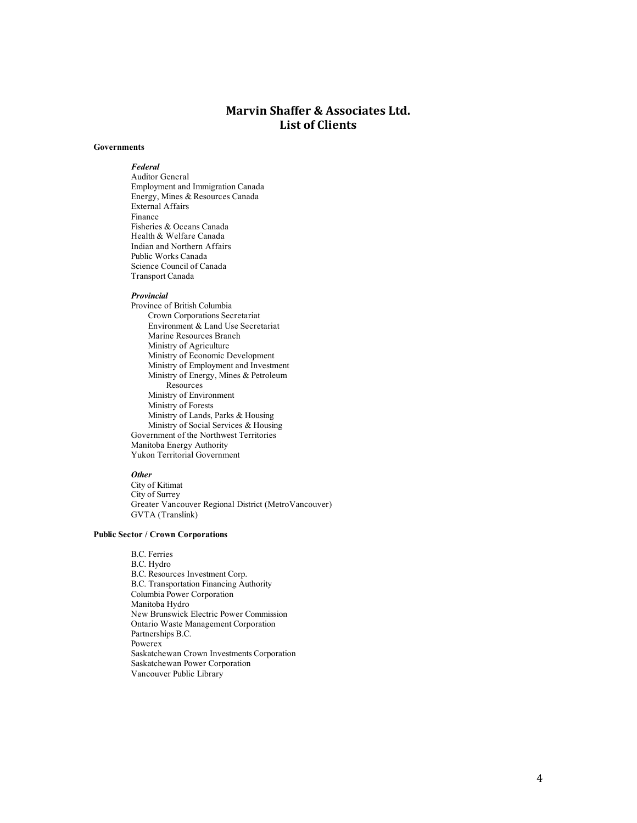# **Marvin Shaffer & Associates Ltd. List of Clients**

#### **Governments**

*Federal* Auditor General Employment and Immigration Canada Energy, Mines & Resources Canada External Affairs Finance Fisheries & Oceans Canada Health & Welfare Canada Indian and Northern Affairs Public Works Canada Science Council of Canada Transport Canada

#### *Provincial*

Province of British Columbia Crown Corporations Secretariat Environment & Land Use Secretariat Marine Resources Branch Ministry of Agriculture Ministry of Economic Development Ministry of Employment and Investment Ministry of Energy, Mines & Petroleum Resources Ministry of Environment Ministry of Forests Ministry of Lands, Parks & Housing Ministry of Social Services & Housing Government of the Northwest Territories Manitoba Energy Authority Yukon Territorial Government

# *Other*

City of Kitimat City of Surrey Greater Vancouver Regional District (MetroVancouver) GVTA (Translink)

### **Public Sector / Crown Corporations**

B.C. Ferries B.C. Hydro B.C. Resources Investment Corp. B.C. Transportation Financing Authority Columbia Power Corporation Manitoba Hydro New Brunswick Electric Power Commission Ontario Waste Management Corporation Partnerships B.C. Powerex Saskatchewan Crown Investments Corporation Saskatchewan Power Corporation Vancouver Public Library